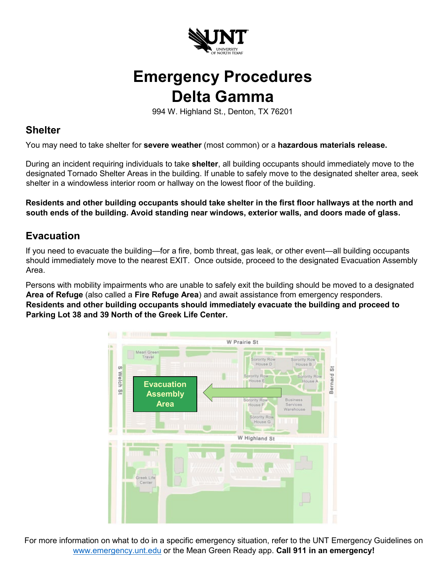

## **Emergency Procedures Delta Gamma**

994 W. Highland St., Denton, TX 76201

## **Shelter**

You may need to take shelter for **severe weather** (most common) or a **hazardous materials release.**

During an incident requiring individuals to take **shelter**, all building occupants should immediately move to the designated Tornado Shelter Areas in the building. If unable to safely move to the designated shelter area, seek shelter in a windowless interior room or hallway on the lowest floor of the building.

**Residents and other building occupants should take shelter in the first floor hallways at the north and south ends of the building. Avoid standing near windows, exterior walls, and doors made of glass.** 

## **Evacuation**

If you need to evacuate the building—for a fire, bomb threat, gas leak, or other event—all building occupants should immediately move to the nearest EXIT. Once outside, proceed to the designated Evacuation Assembly Area.

Persons with mobility impairments who are unable to safely exit the building should be moved to a designated **Area of Refuge** (also called a **Fire Refuge Area**) and await assistance from emergency responders. **Residents and other building occupants should immediately evacuate the building and proceed to Parking Lot 38 and 39 North of the Greek Life Center.** 



For more information on what to do in a specific emergency situation, refer to the UNT Emergency Guidelines on [www.emergency.unt.edu](http://www.emergency.unt.edu/) or the Mean Green Ready app. **Call 911 in an emergency!**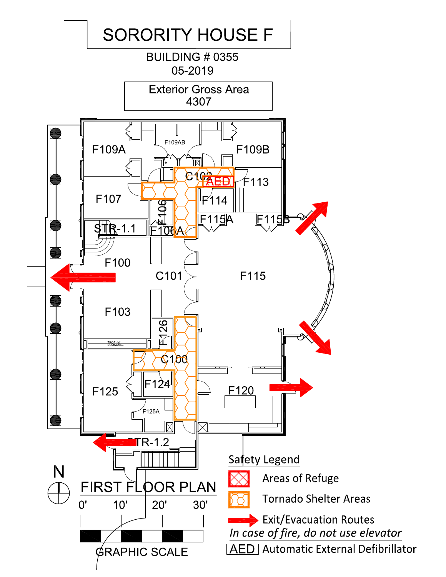